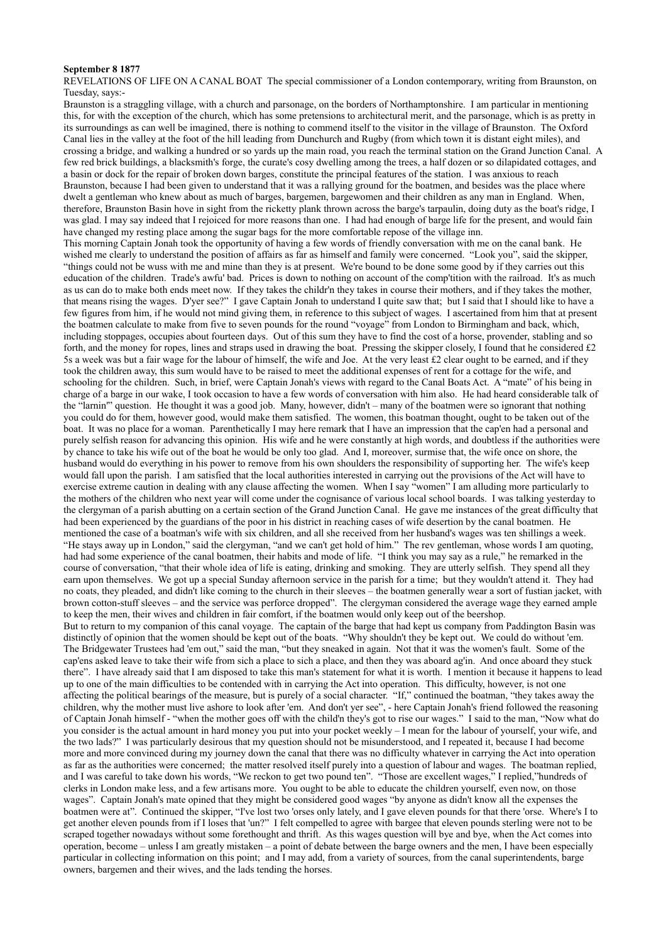## **September 8 1877**

REVELATIONS OF LIFE ON A CANAL BOAT The special commissioner of a London contemporary, writing from Braunston, on Tuesday, says:-

Braunston is a straggling village, with a church and parsonage, on the borders of Northamptonshire. I am particular in mentioning this, for with the exception of the church, which has some pretensions to architectural merit, and the parsonage, which is as pretty in its surroundings as can well be imagined, there is nothing to commend itself to the visitor in the village of Braunston. The Oxford Canal lies in the valley at the foot of the hill leading from Dunchurch and Rugby (from which town it is distant eight miles), and crossing a bridge, and walking a hundred or so yards up the main road, you reach the terminal station on the Grand Junction Canal. A few red brick buildings, a blacksmith's forge, the curate's cosy dwelling among the trees, a half dozen or so dilapidated cottages, and a basin or dock for the repair of broken down barges, constitute the principal features of the station. I was anxious to reach Braunston, because I had been given to understand that it was a rallying ground for the boatmen, and besides was the place where dwelt a gentleman who knew about as much of barges, bargemen, bargewomen and their children as any man in England. When, therefore, Braunston Basin hove in sight from the ricketty plank thrown across the barge's tarpaulin, doing duty as the boat's ridge, I was glad. I may say indeed that I rejoiced for more reasons than one. I had had enough of barge life for the present, and would fain have changed my resting place among the sugar bags for the more comfortable repose of the village inn. This morning Captain Jonah took the opportunity of having a few words of friendly conversation with me on the canal bank. He wished me clearly to understand the position of affairs as far as himself and family were concerned. "Look you", said the skipper, "things could not be wuss with me and mine than they is at present. We're bound to be done some good by if they carries out this education of the children. Trade's awfu' bad. Prices is down to nothing on account of the comp'tition with the railroad. It's as much as us can do to make both ends meet now. If they takes the childr'n they takes in course their mothers, and if they takes the mother, that means rising the wages. D'yer see?" I gave Captain Jonah to understand I quite saw that; but I said that I should like to have a few figures from him, if he would not mind giving them, in reference to this subject of wages. I ascertained from him that at present the boatmen calculate to make from five to seven pounds for the round "voyage" from London to Birmingham and back, which, including stoppages, occupies about fourteen days. Out of this sum they have to find the cost of a horse, provender, stabling and so forth, and the money for ropes, lines and straps used in drawing the boat. Pressing the skipper closely, I found that he considered £2 5s a week was but a fair wage for the labour of himself, the wife and Joe. At the very least £2 clear ought to be earned, and if they took the children away, this sum would have to be raised to meet the additional expenses of rent for a cottage for the wife, and schooling for the children. Such, in brief, were Captain Jonah's views with regard to the Canal Boats Act. A "mate" of his being in charge of a barge in our wake, I took occasion to have a few words of conversation with him also. He had heard considerable talk of the "larnin'" question. He thought it was a good job. Many, however, didn't – many of the boatmen were so ignorant that nothing you could do for them, however good, would make them satisfied. The women, this boatman thought, ought to be taken out of the boat. It was no place for a woman. Parenthetically I may here remark that I have an impression that the cap'en had a personal and purely selfish reason for advancing this opinion. His wife and he were constantly at high words, and doubtless if the authorities were by chance to take his wife out of the boat he would be only too glad. And I, moreover, surmise that, the wife once on shore, the husband would do everything in his power to remove from his own shoulders the responsibility of supporting her. The wife's keep would fall upon the parish. I am satisfied that the local authorities interested in carrying out the provisions of the Act will have to exercise extreme caution in dealing with any clause affecting the women. When I say "women" I am alluding more particularly to the mothers of the children who next year will come under the cognisance of various local school boards. I was talking yesterday to the clergyman of a parish abutting on a certain section of the Grand Junction Canal. He gave me instances of the great difficulty that had been experienced by the guardians of the poor in his district in reaching cases of wife desertion by the canal boatmen. He mentioned the case of a boatman's wife with six children, and all she received from her husband's wages was ten shillings a week. "He stays away up in London," said the clergyman, "and we can't get hold of him." The rev gentleman, whose words I am quoting, had had some experience of the canal boatmen, their habits and mode of life. "I think you may say as a rule," he remarked in the course of conversation, "that their whole idea of life is eating, drinking and smoking. They are utterly selfish. They spend all they earn upon themselves. We got up a special Sunday afternoon service in the parish for a time; but they wouldn't attend it. They had no coats, they pleaded, and didn't like coming to the church in their sleeves – the boatmen generally wear a sort of fustian jacket, with brown cotton-stuff sleeves – and the service was perforce dropped". The clergyman considered the average wage they earned ample to keep the men, their wives and children in fair comfort, if the boatmen would only keep out of the beershop. But to return to my companion of this canal voyage. The captain of the barge that had kept us company from Paddington Basin was distinctly of opinion that the women should be kept out of the boats. "Why shouldn't they be kept out. We could do without 'em. The Bridgewater Trustees had 'em out," said the man, "but they sneaked in again. Not that it was the women's fault. Some of the cap'ens asked leave to take their wife from sich a place to sich a place, and then they was aboard ag'in. And once aboard they stuck there". I have already said that I am disposed to take this man's statement for what it is worth. I mention it because it happens to lead up to one of the main difficulties to be contended with in carrying the Act into operation. This difficulty, however, is not one affecting the political bearings of the measure, but is purely of a social character. "If," continued the boatman, "they takes away the children, why the mother must live ashore to look after 'em. And don't yer see", - here Captain Jonah's friend followed the reasoning of Captain Jonah himself - "when the mother goes off with the child'n they's got to rise our wages." I said to the man, "Now what do you consider is the actual amount in hard money you put into your pocket weekly – I mean for the labour of yourself, your wife, and the two lads?" I was particularly desirous that my question should not be misunderstood, and I repeated it, because I had become more and more convinced during my journey down the canal that there was no difficulty whatever in carrying the Act into operation as far as the authorities were concerned; the matter resolved itself purely into a question of labour and wages. The boatman replied, and I was careful to take down his words, "We reckon to get two pound ten". "Those are excellent wages," I replied,"hundreds of clerks in London make less, and a few artisans more. You ought to be able to educate the children yourself, even now, on those wages". Captain Jonah's mate opined that they might be considered good wages "by anyone as didn't know all the expenses the boatmen were at". Continued the skipper, "I've lost two 'orses only lately, and I gave eleven pounds for that there 'orse. Where's I to get another eleven pounds from if I loses that 'un?" I felt compelled to agree with bargee that eleven pounds sterling were not to be scraped together nowadays without some forethought and thrift. As this wages question will bye and bye, when the Act comes into operation, become – unless I am greatly mistaken – a point of debate between the barge owners and the men, I have been especially particular in collecting information on this point; and I may add, from a variety of sources, from the canal superintendents, barge owners, bargemen and their wives, and the lads tending the horses.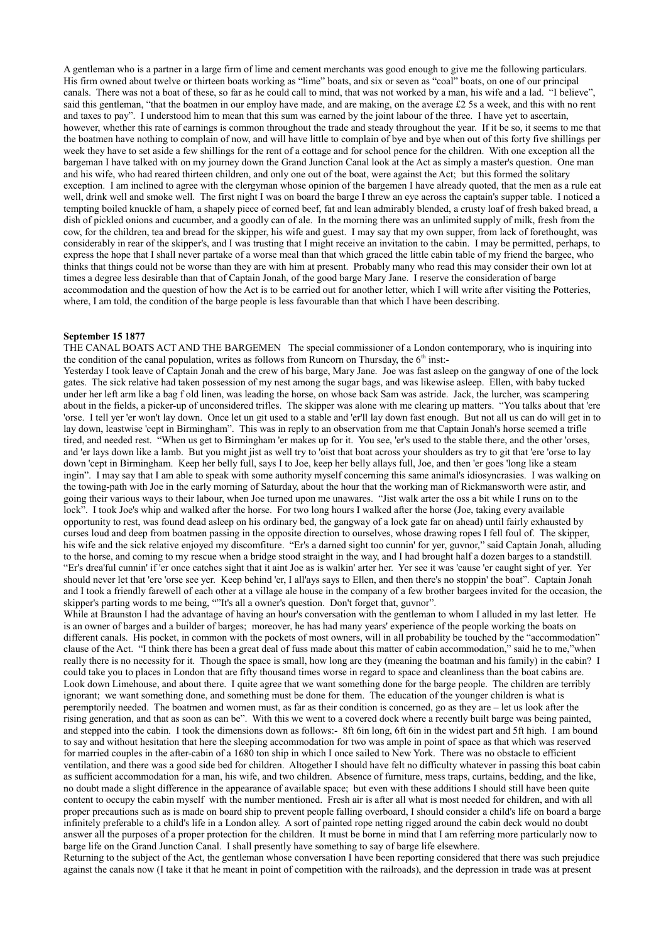A gentleman who is a partner in a large firm of lime and cement merchants was good enough to give me the following particulars. His firm owned about twelve or thirteen boats working as "lime" boats, and six or seven as "coal" boats, on one of our principal canals. There was not a boat of these, so far as he could call to mind, that was not worked by a man, his wife and a lad. "I believe", said this gentleman, "that the boatmen in our employ have made, and are making, on the average £2 5s a week, and this with no rent and taxes to pay". I understood him to mean that this sum was earned by the joint labour of the three. I have yet to ascertain, however, whether this rate of earnings is common throughout the trade and steady throughout the year. If it be so, it seems to me that the boatmen have nothing to complain of now, and will have little to complain of bye and bye when out of this forty five shillings per week they have to set aside a few shillings for the rent of a cottage and for school pence for the children. With one exception all the bargeman I have talked with on my journey down the Grand Junction Canal look at the Act as simply a master's question. One man and his wife, who had reared thirteen children, and only one out of the boat, were against the Act; but this formed the solitary exception. I am inclined to agree with the clergyman whose opinion of the bargemen I have already quoted, that the men as a rule eat well, drink well and smoke well. The first night I was on board the barge I threw an eye across the captain's supper table. I noticed a tempting boiled knuckle of ham, a shapely piece of corned beef, fat and lean admirably blended, a crusty loaf of fresh baked bread, a dish of pickled onions and cucumber, and a goodly can of ale. In the morning there was an unlimited supply of milk, fresh from the cow, for the children, tea and bread for the skipper, his wife and guest. I may say that my own supper, from lack of forethought, was considerably in rear of the skipper's, and I was trusting that I might receive an invitation to the cabin. I may be permitted, perhaps, to express the hope that I shall never partake of a worse meal than that which graced the little cabin table of my friend the bargee, who thinks that things could not be worse than they are with him at present. Probably many who read this may consider their own lot at times a degree less desirable than that of Captain Jonah, of the good barge Mary Jane. I reserve the consideration of barge accommodation and the question of how the Act is to be carried out for another letter, which I will write after visiting the Potteries, where, I am told, the condition of the barge people is less favourable than that which I have been describing.

## **September 15 1877**

THE CANAL BOATS ACT AND THE BARGEMEN The special commissioner of a London contemporary, who is inquiring into the condition of the canal population, writes as follows from Runcorn on Thursday, the  $6<sup>th</sup>$  inst:-

Yesterday I took leave of Captain Jonah and the crew of his barge, Mary Jane. Joe was fast asleep on the gangway of one of the lock gates. The sick relative had taken possession of my nest among the sugar bags, and was likewise asleep. Ellen, with baby tucked under her left arm like a bag f old linen, was leading the horse, on whose back Sam was astride. Jack, the lurcher, was scampering about in the fields, a picker-up of unconsidered trifles. The skipper was alone with me clearing up matters. "You talks about that 'ere 'orse. I tell yer 'er won't lay down. Once let un git used to a stable and 'er'll lay down fast enough. But not all us can do will get in to lay down, leastwise 'cept in Birmingham". This was in reply to an observation from me that Captain Jonah's horse seemed a trifle tired, and needed rest. "When us get to Birmingham 'er makes up for it. You see, 'er's used to the stable there, and the other 'orses, and 'er lays down like a lamb. But you might jist as well try to 'oist that boat across your shoulders as try to git that 'ere 'orse to lay down 'cept in Birmingham. Keep her belly full, says I to Joe, keep her belly allays full, Joe, and then 'er goes 'long like a steam ingin". I may say that I am able to speak with some authority myself concerning this same animal's idiosyncrasies. I was walking on the towing-path with Joe in the early morning of Saturday, about the hour that the working man of Rickmansworth were astir, and going their various ways to their labour, when Joe turned upon me unawares. "Jist walk arter the oss a bit while I runs on to the lock". I took Joe's whip and walked after the horse. For two long hours I walked after the horse (Joe, taking every available opportunity to rest, was found dead asleep on his ordinary bed, the gangway of a lock gate far on ahead) until fairly exhausted by curses loud and deep from boatmen passing in the opposite direction to ourselves, whose drawing ropes I fell foul of. The skipper, his wife and the sick relative enjoyed my discomfiture. "Er's a darned sight too cunnin' for yer, guvnor," said Captain Jonah, alluding to the horse, and coming to my rescue when a bridge stood straight in the way, and I had brought half a dozen barges to a standstill. "Er's drea'ful cunnin' if 'er once catches sight that it aint Joe as is walkin' arter her. Yer see it was 'cause 'er caught sight of yer. Yer should never let that 'ere 'orse see yer. Keep behind 'er, I all'ays says to Ellen, and then there's no stoppin' the boat". Captain Jonah and I took a friendly farewell of each other at a village ale house in the company of a few brother bargees invited for the occasion, the skipper's parting words to me being, ""It's all a owner's question. Don't forget that, guvnor".

While at Braunston I had the advantage of having an hour's conversation with the gentleman to whom I alluded in my last letter. He is an owner of barges and a builder of barges; moreover, he has had many years' experience of the people working the boats on different canals. His pocket, in common with the pockets of most owners, will in all probability be touched by the "accommodation" clause of the Act. "I think there has been a great deal of fuss made about this matter of cabin accommodation," said he to me,"when really there is no necessity for it. Though the space is small, how long are they (meaning the boatman and his family) in the cabin? I could take you to places in London that are fifty thousand times worse in regard to space and cleanliness than the boat cabins are. Look down Limehouse, and about there. I quite agree that we want something done for the barge people. The children are terribly ignorant; we want something done, and something must be done for them. The education of the younger children is what is peremptorily needed. The boatmen and women must, as far as their condition is concerned, go as they are – let us look after the rising generation, and that as soon as can be". With this we went to a covered dock where a recently built barge was being painted, and stepped into the cabin. I took the dimensions down as follows:- 8ft 6in long, 6ft 6in in the widest part and 5ft high. I am bound to say and without hesitation that here the sleeping accommodation for two was ample in point of space as that which was reserved for married couples in the after-cabin of a 1680 ton ship in which I once sailed to New York. There was no obstacle to efficient ventilation, and there was a good side bed for children. Altogether I should have felt no difficulty whatever in passing this boat cabin as sufficient accommodation for a man, his wife, and two children. Absence of furniture, mess traps, curtains, bedding, and the like, no doubt made a slight difference in the appearance of available space; but even with these additions I should still have been quite content to occupy the cabin myself with the number mentioned. Fresh air is after all what is most needed for children, and with all proper precautions such as is made on board ship to prevent people falling overboard, I should consider a child's life on board a barge infinitely preferable to a child's life in a London alley. A sort of painted rope netting rigged around the cabin deck would no doubt answer all the purposes of a proper protection for the children. It must be borne in mind that I am referring more particularly now to barge life on the Grand Junction Canal. I shall presently have something to say of barge life elsewhere.

Returning to the subject of the Act, the gentleman whose conversation I have been reporting considered that there was such prejudice against the canals now (I take it that he meant in point of competition with the railroads), and the depression in trade was at present